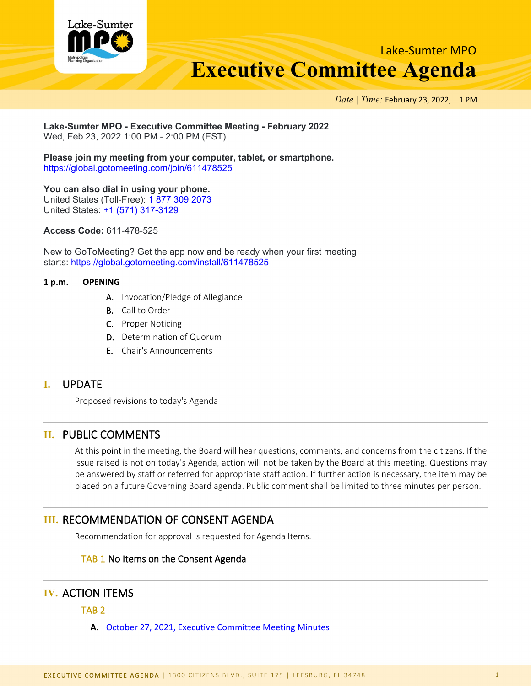

Lake-Sumter MPO **Executive Committee Agenda**

*Date | Time:* February 23, 2022, | 1 PM

#### **Lake-Sumter MPO - Executive Committee Meeting - February 2022** Wed, Feb 23, 2022 1:00 PM - 2:00 PM (EST)

**Please join my meeting from your computer, tablet, or smartphone.** <https://global.gotomeeting.com/join/611478525>

## **You can also dial in using your phone.**

United States (Toll-Free): [1 877 309 2073](tel:+18773092073,,611478525) United States: [+1 \(571\) 317-3129](tel:+15713173129,,611478525)

**Access Code:** 611-478-525

New to GoToMeeting? Get the app now and be ready when your first meeting starts: <https://global.gotomeeting.com/install/611478525>

### **1 p.m. OPENING**

- A. Invocation/Pledge of Allegiance
- B. Call to Order
- C. Proper Noticing
- D. Determination of Quorum
- E. Chair's Announcements

## **I.** UPDATE

Proposed revisions to today's Agenda

# **II.** PUBLIC COMMENTS

At this point in the meeting, the Board will hear questions, comments, and concerns from the citizens. If the issue raised is not on today's Agenda, action will not be taken by the Board at this meeting. Questions may be answered by staff or referred for appropriate staff action. If further action is necessary, the item may be placed on a future Governing Board agenda. Public comment shall be limited to three minutes per person.

# **III.** RECOMMENDATION OF CONSENT AGENDA

Recommendation for approval is requested for Agenda Items.

### TAB 1 No Items on the Consent Agenda

# **IV.** ACTION ITEMS

TAB 2

**A.** October 27, 2021, Executive [Committee Meeting Minutes](http://www.lakesumtermpo.com/media/otabun53/october-27-2021-ec-minutes.pdf)